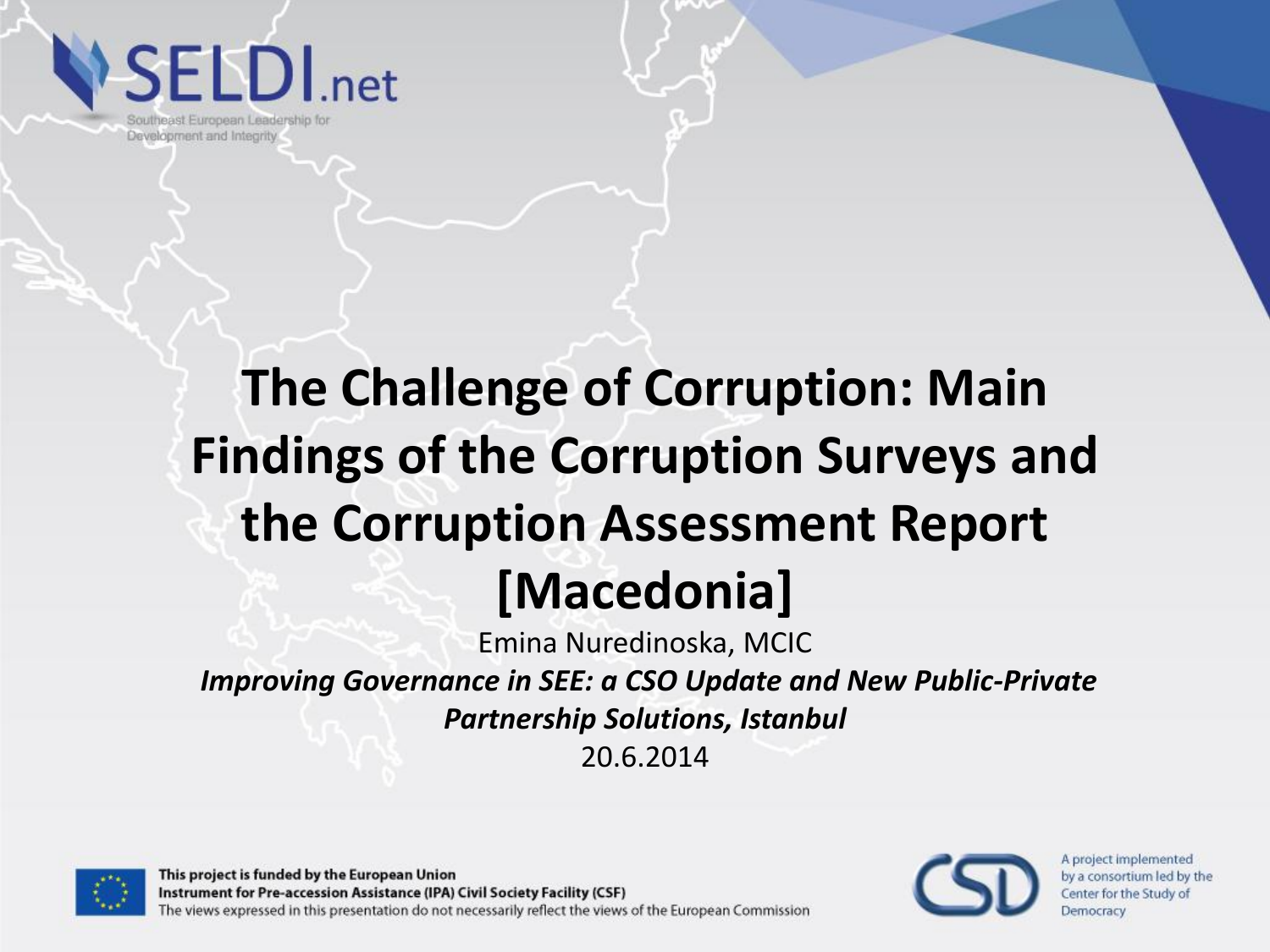**ELDI**.net

Southeast European Leadership for Development and Integrity

#### **The Challenge of Corruption: Main Findings of the Corruption Surveys and the Corruption Assessment Report [Macedonia]**

Emina Nuredinoska, MCIC

*Improving Governance in SEE: a CSO Update and New Public-Private Partnership Solutions, Istanbul*

20.6.2014



This project is funded by the European Union Instrument for Pre-accession Assistance (IPA) Civil Society Facility (CSF) The views expressed in this presentation do not necessarily reflect the views of the European Commission

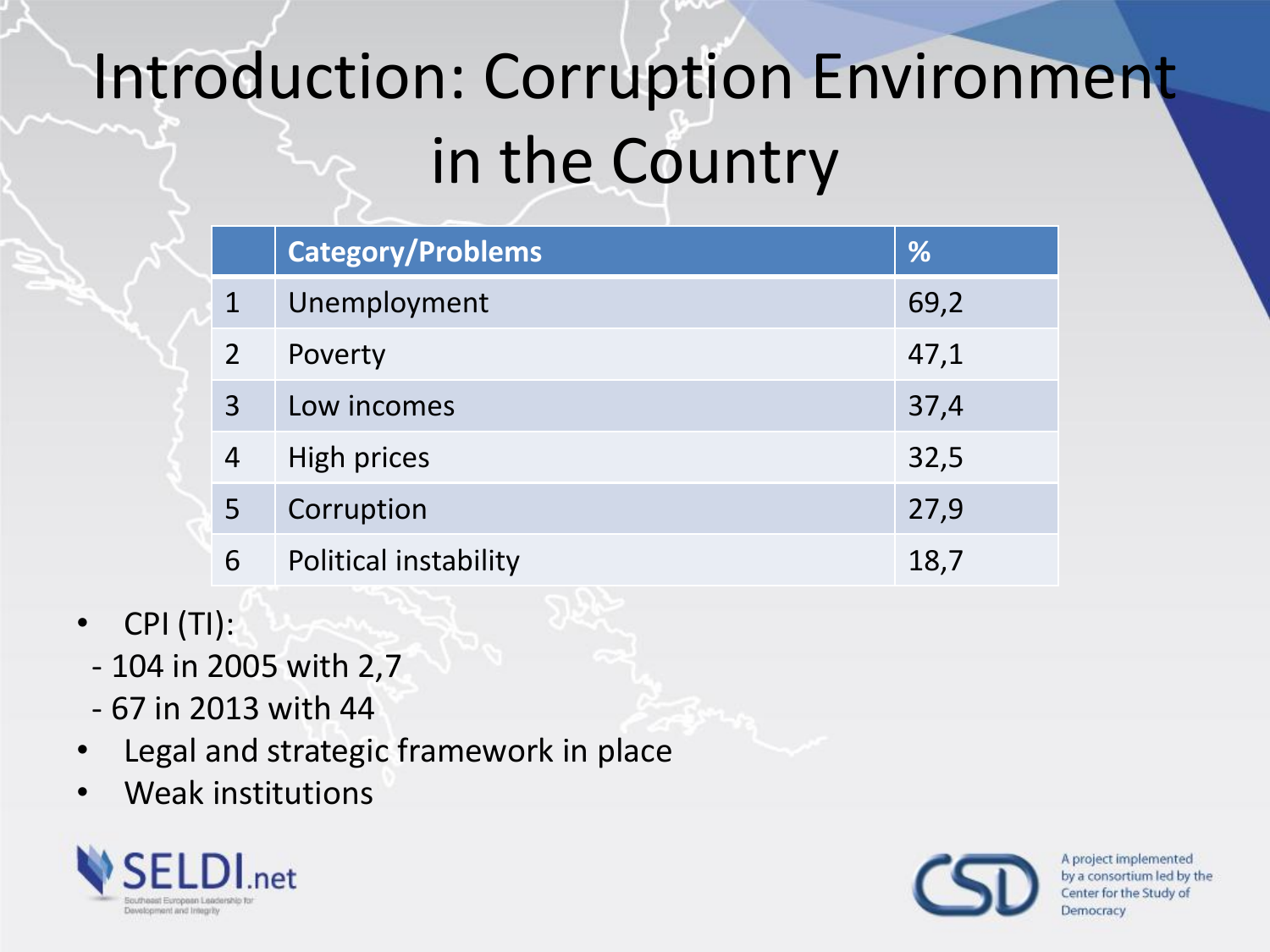# Introduction: Corruption Environment in the Country

|                | <b>Category/Problems</b> | %    |
|----------------|--------------------------|------|
|                | Unemployment             | 69,2 |
|                | Poverty                  | 47,1 |
| 3              | Low incomes              | 37,4 |
| $\overline{4}$ | High prices              | 32,5 |
| 5              | Corruption               | 27,9 |
| 6              | Political instability    | 18,7 |

- CPI (TI):
	- 104 in 2005 with 2,7
	- 67 in 2013 with 44
- Legal and strategic framework in place
- Weak institutions



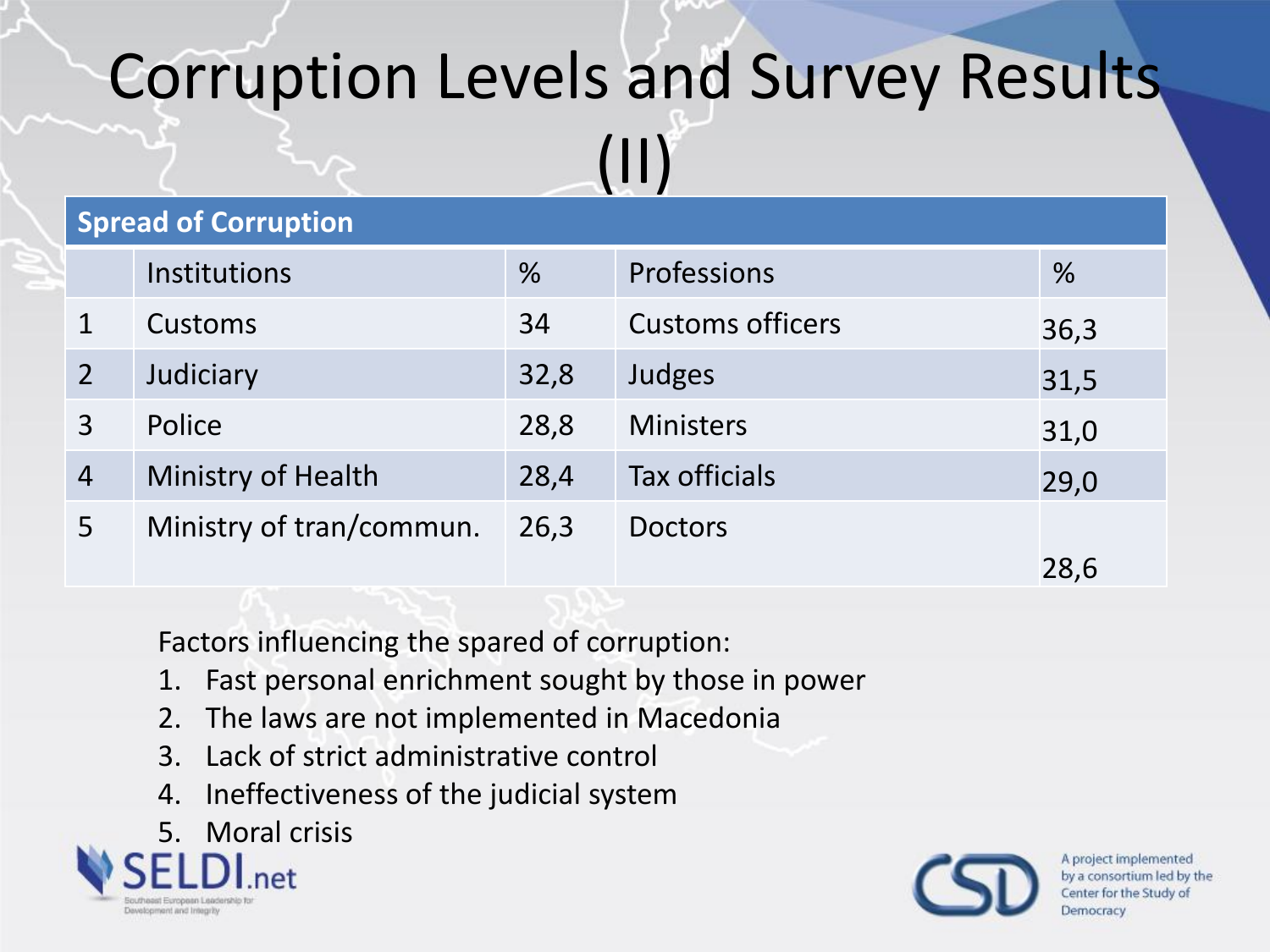#### Corruption Levels and Survey Results

(II)

| <b>Spread of Corruption</b> |                          |               |                         |      |  |  |
|-----------------------------|--------------------------|---------------|-------------------------|------|--|--|
|                             | <b>Institutions</b>      | $\frac{9}{6}$ | Professions             | $\%$ |  |  |
|                             | Customs                  | 34            | <b>Customs officers</b> | 36,3 |  |  |
|                             | Judiciary                | 32,8          | Judges                  | 31,5 |  |  |
|                             | Police                   | 28,8          | <b>Ministers</b>        | 31,0 |  |  |
| $\overline{4}$              | Ministry of Health       | 28,4          | <b>Tax officials</b>    | 29,0 |  |  |
| 5                           | Ministry of tran/commun. | 26,3          | <b>Doctors</b>          |      |  |  |
|                             |                          |               |                         | 28,6 |  |  |

Factors influencing the spared of corruption:

- 1. Fast personal enrichment sought by those in power
- 2. The laws are not implemented in Macedonia
- 3. Lack of strict administrative control
- 4. Ineffectiveness of the judicial system

#### 5. Moral crisis



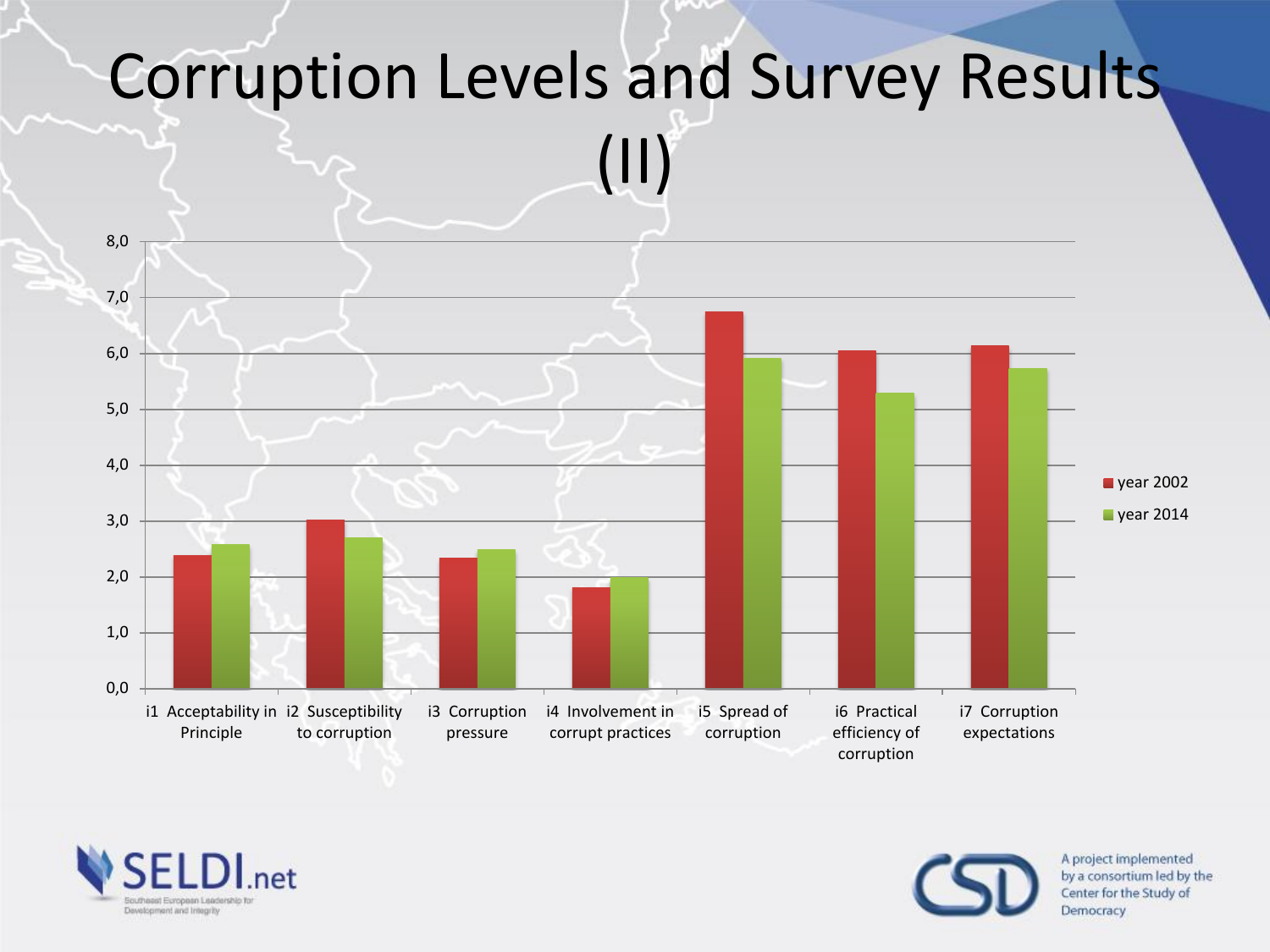



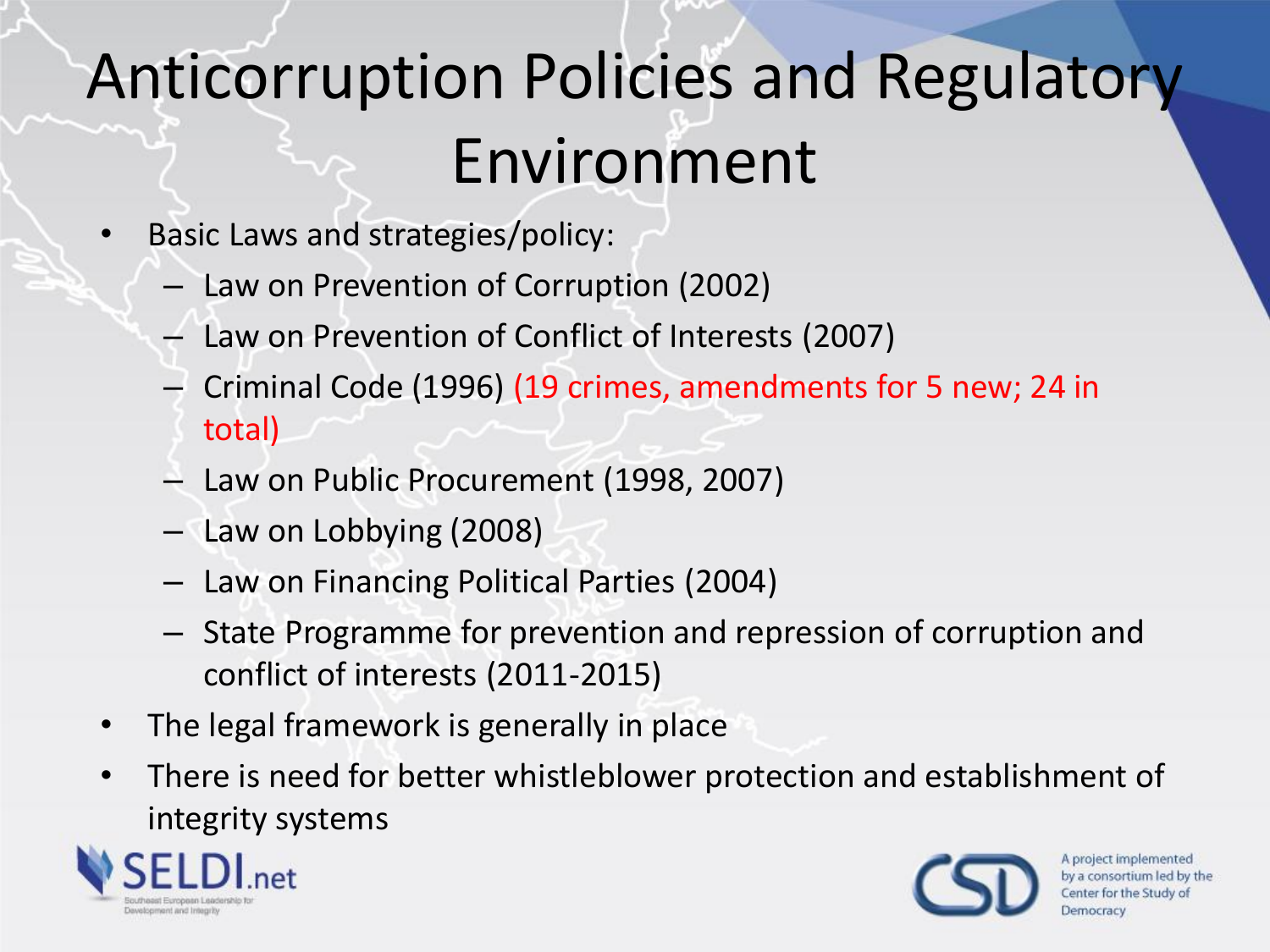# Anticorruption Policies and Regulatory Environment

- Basic Laws and strategies/policy:
	- Law on Prevention of Corruption (2002)
	- Law on Prevention of Conflict of Interests (2007)
	- Criminal Code (1996) (19 crimes, amendments for 5 new; 24 in total)
	- Law on Public Procurement (1998, 2007)
	- Law on Lobbying (2008)
	- Law on Financing Political Parties (2004)
	- State Programme for prevention and repression of corruption and conflict of interests (2011-2015)
- The legal framework is generally in place
- There is need for better whistleblower protection and establishment of integrity systems



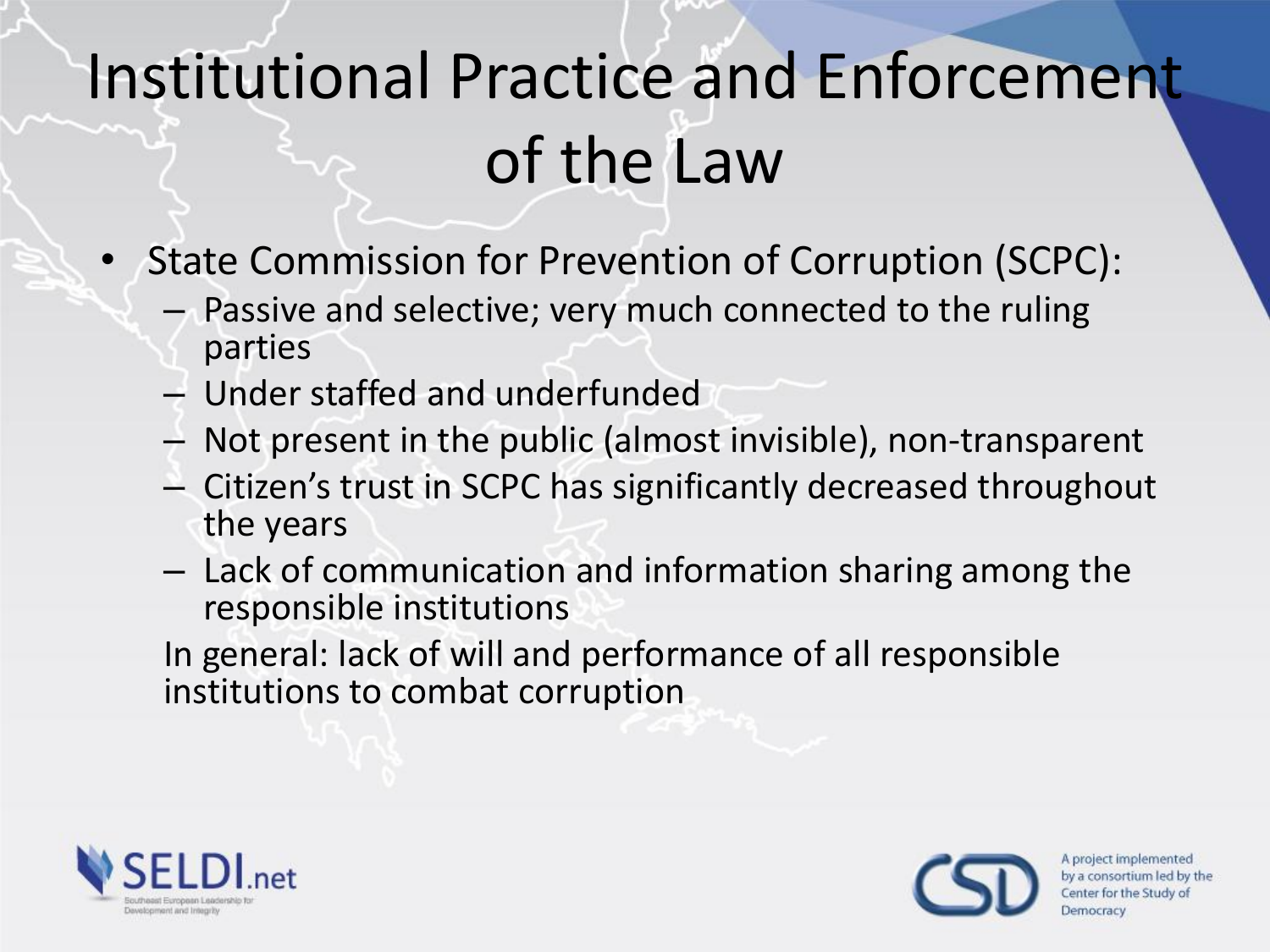# Institutional Practice and Enforcement of the Law

- State Commission for Prevention of Corruption (SCPC):
	- Passive and selective; very much connected to the ruling parties
	- Under staffed and underfunded
	- Not present in the public (almost invisible), non-transparent
	- Citizen's trust in SCPC has significantly decreased throughout the years
	- Lack of communication and information sharing among the responsible institutions

In general: lack of will and performance of all responsible institutions to combat corruption



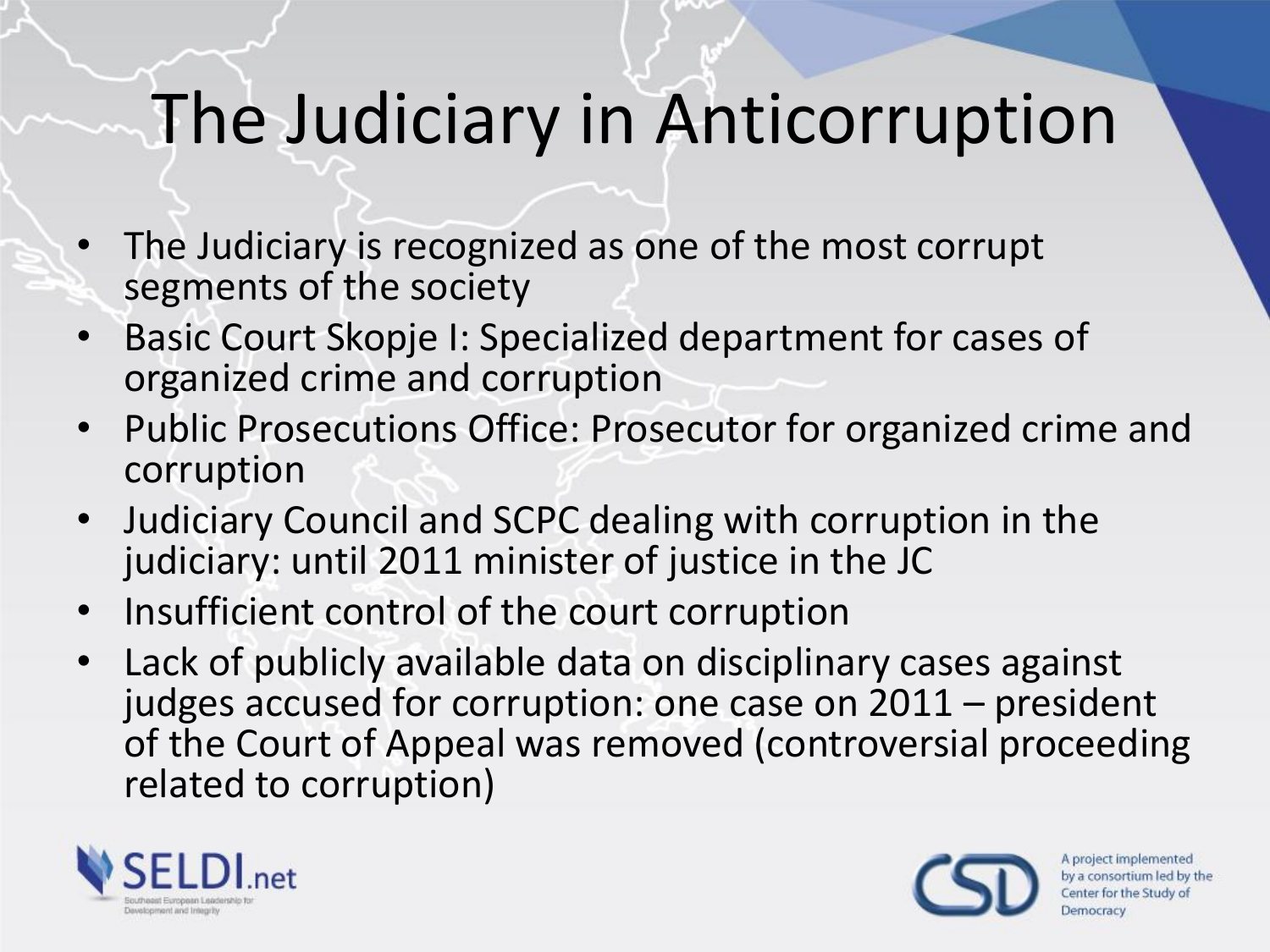#### The Judiciary in Anticorruption

- The Judiciary is recognized as one of the most corrupt segments of the society
- Basic Court Skopje I: Specialized department for cases of organized crime and corruption
- Public Prosecutions Office: Prosecutor for organized crime and corruption
- Judiciary Council and SCPC dealing with corruption in the judiciary: until 2011 minister of justice in the JC
- Insufficient control of the court corruption
- Lack of publicly available data on disciplinary cases against judges accused for corruption: one case on 2011 – president of the Court of Appeal was removed (controversial proceeding related to corruption)



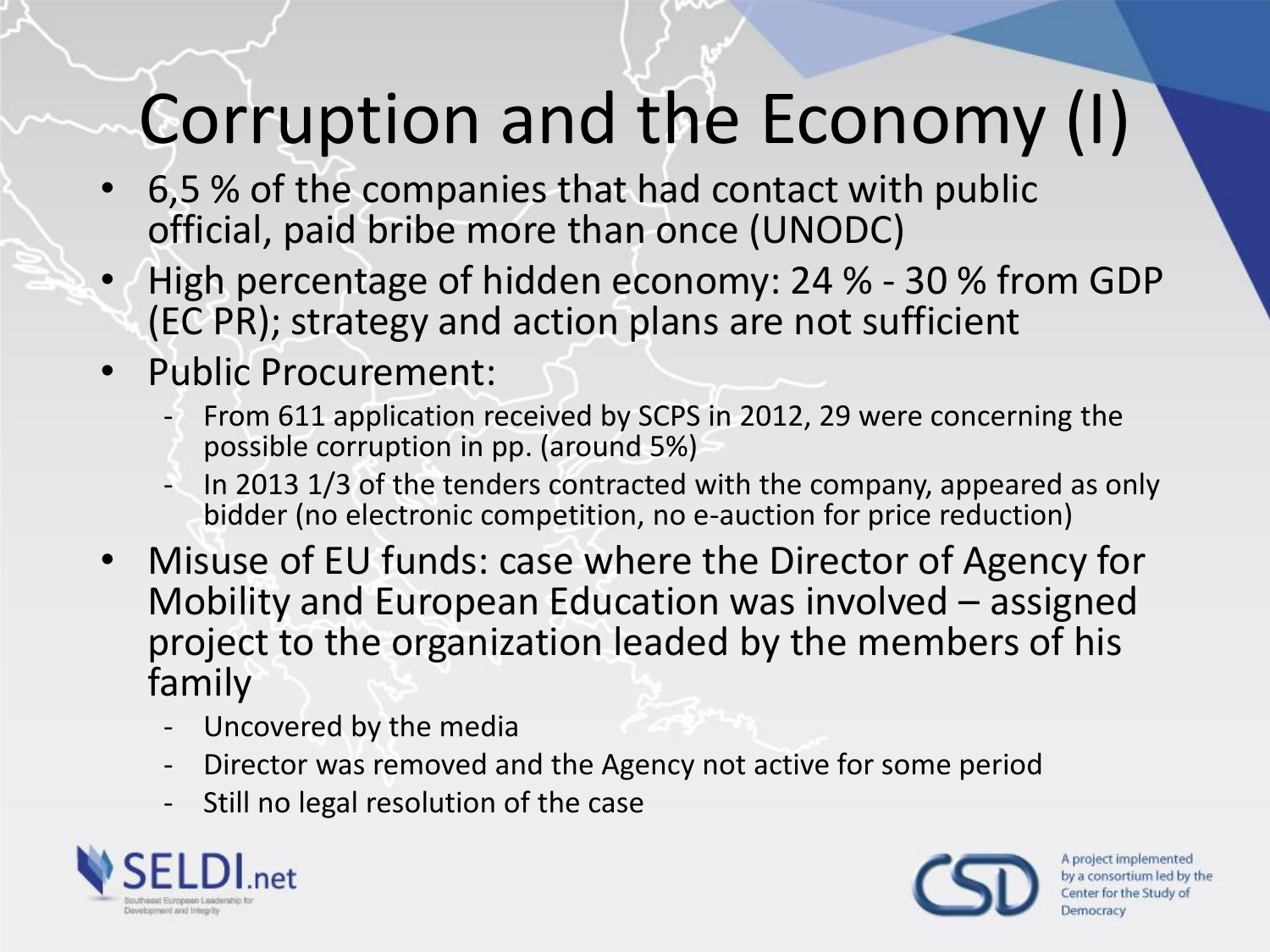# Corruption and the Economy (I)

- 6,5 % of the companies that had contact with public official, paid bribe more than once (UNODC)
- High percentage of hidden economy: 24 % 30 % from GDP (EC PR); strategy and action plans are not sufficient
- Public Procurement:
	- From 611 application received by SCPS in 2012, 29 were concerning the possible corruption in pp. (around 5%)
	- In 2013 1/3 of the tenders contracted with the company, appeared as only bidder (no electronic competition, no e-auction for price reduction)
- Misuse of EU funds: case where the Director of Agency for Mobility and European Education was involved – assigned project to the organization leaded by the members of his family
	- Uncovered by the media
	- Director was removed and the Agency not active for some period
	- Still no legal resolution of the case



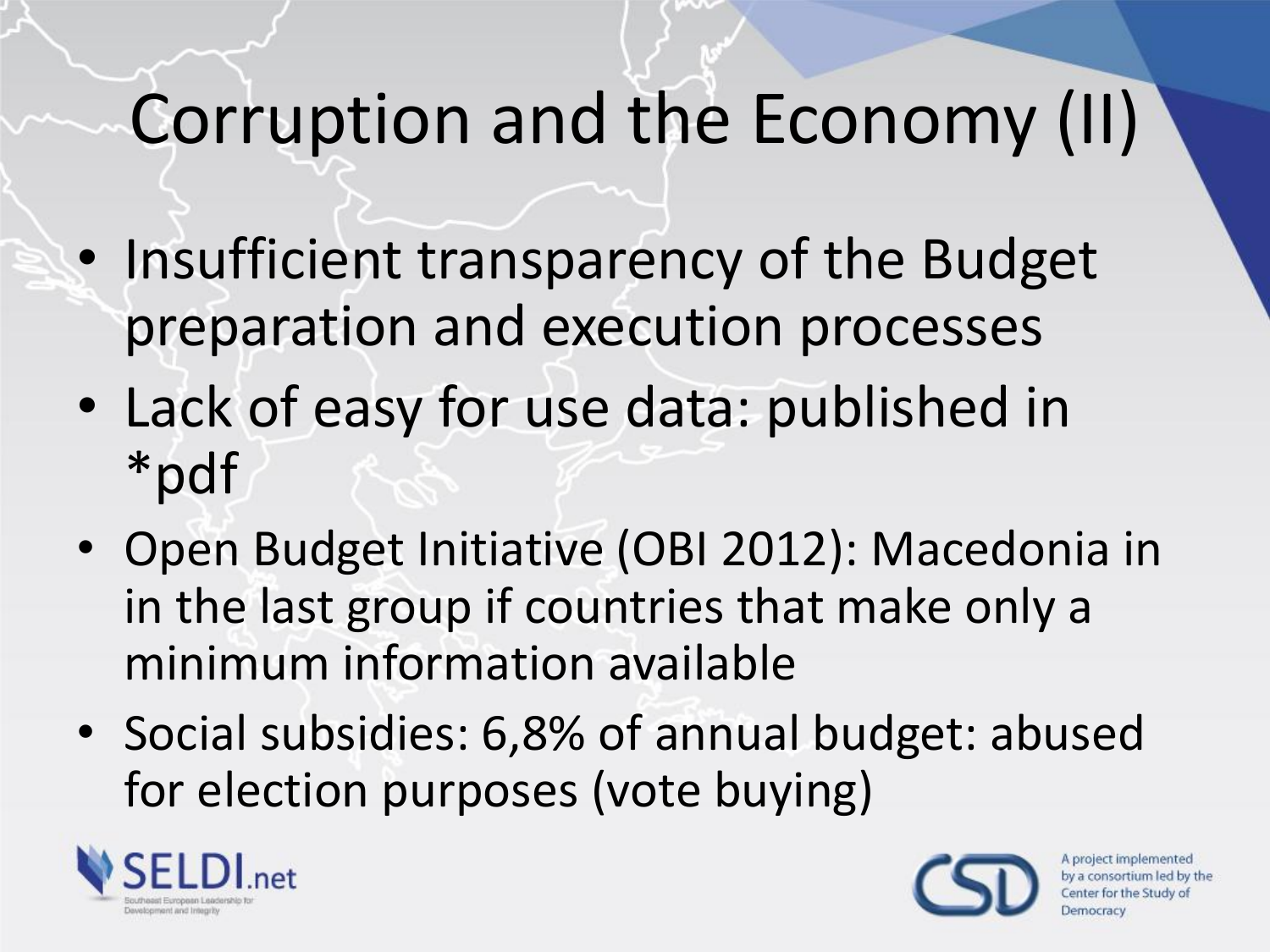# Corruption and the Economy (II)

- Insufficient transparency of the Budget preparation and execution processes
- Lack of easy for use data: published in \*pdf
- Open Budget Initiative (OBI 2012): Macedonia in in the last group if countries that make only a minimum information available
- Social subsidies: 6,8% of annual budget: abused for election purposes (vote buying)



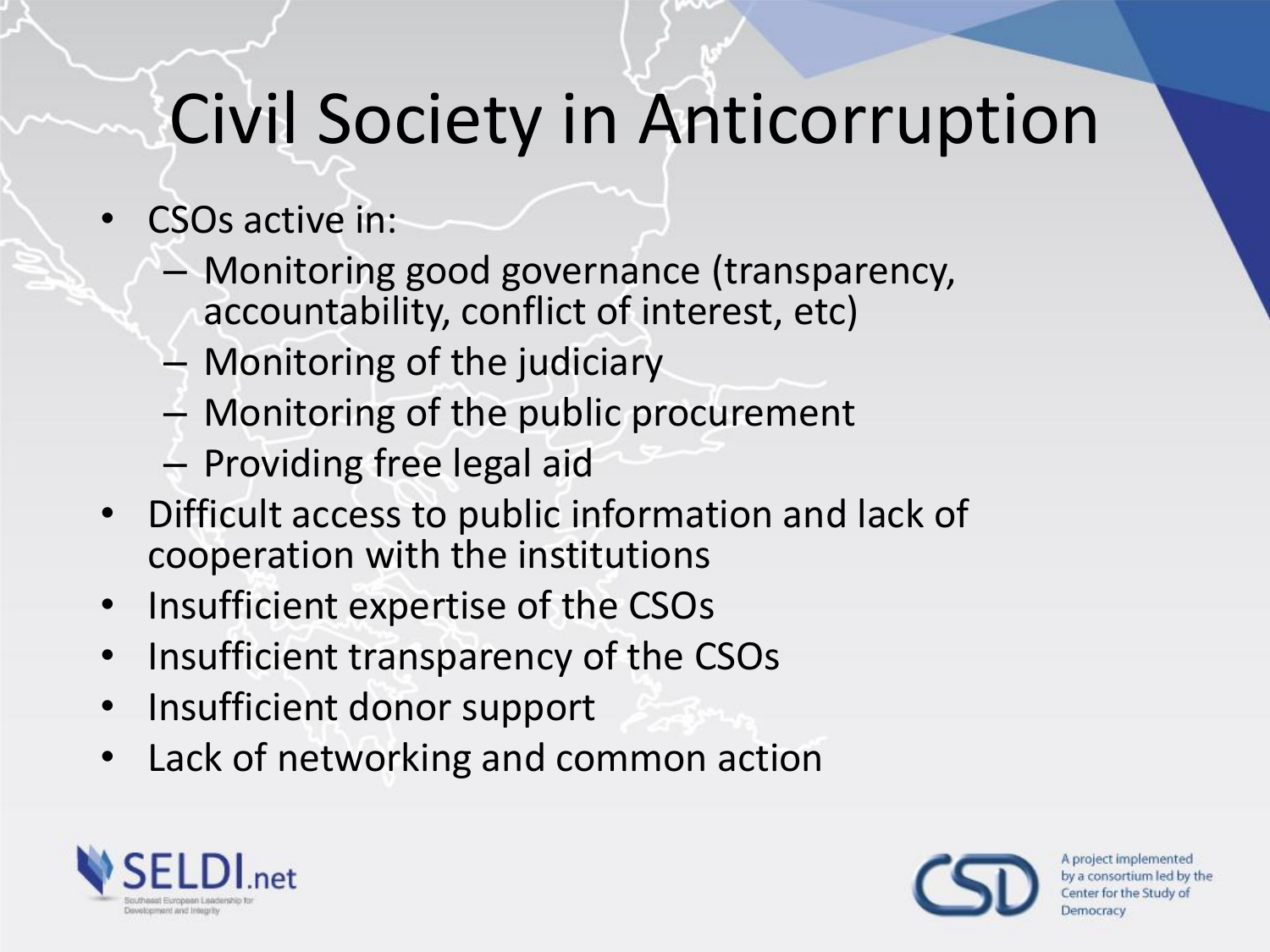# Civil Society in Anticorruption

- CSOs active in:
	- Monitoring good governance (transparency, accountability, conflict of interest, etc)
	- Monitoring of the judiciary
	- Monitoring of the public procurement
	- Providing free legal aid
- Difficult access to public information and lack of cooperation with the institutions
- Insufficient expertise of the CSOs
- Insufficient transparency of the CSOs
- Insufficient donor support
- Lack of networking and common action



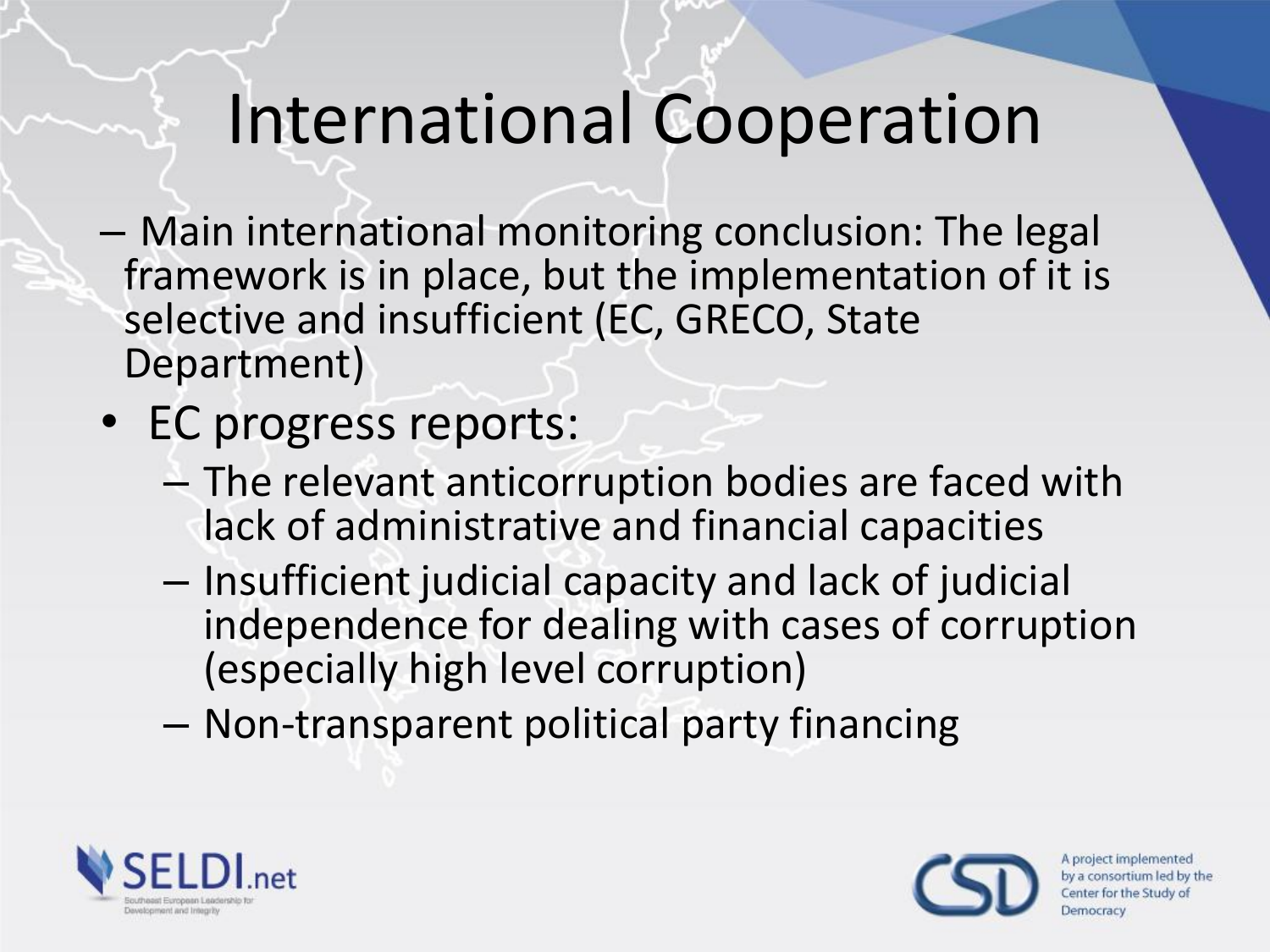#### International Cooperation

- Main international monitoring conclusion: The legal framework is in place, but the implementation of it is selective and insufficient (EC, GRECO, State Department)
- EC progress reports:
	- The relevant anticorruption bodies are faced with lack of administrative and financial capacities
	- Insufficient judicial capacity and lack of judicial independence for dealing with cases of corruption (especially high level corruption)
	- Non-transparent political party financing



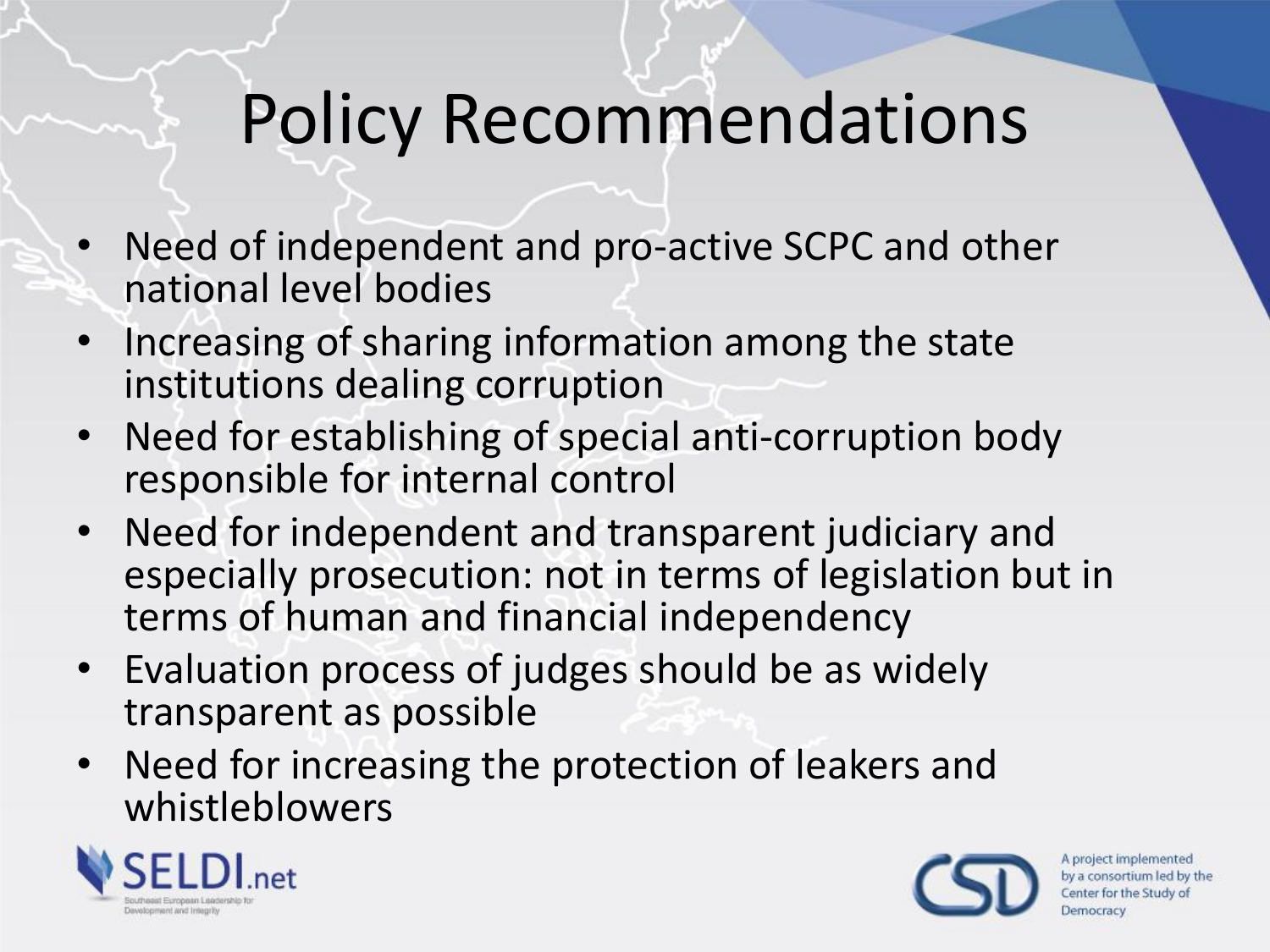### Policy Recommendations

- Need of independent and pro-active SCPC and other national level bodies
- Increasing of sharing information among the state institutions dealing corruption
- Need for establishing of special anti-corruption body responsible for internal control
- Need for independent and transparent judiciary and especially prosecution: not in terms of legislation but in terms of human and financial independency
- Evaluation process of judges should be as widely transparent as possible
- Need for increasing the protection of leakers and whistleblowers